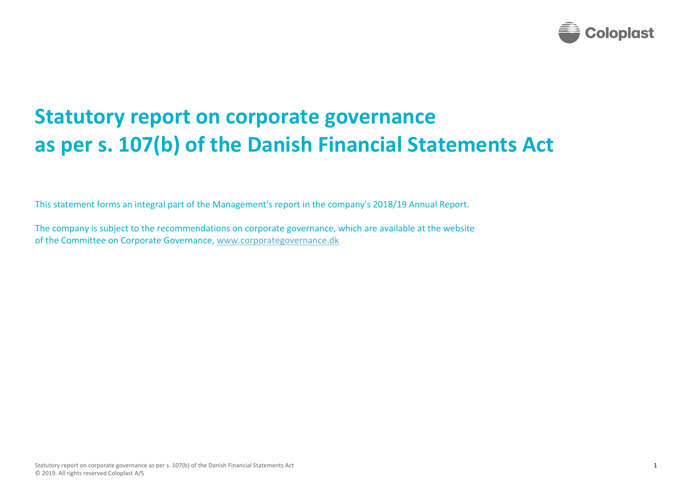

## **Statutory report on corporate governance as per s. 107(b) of the Danish Financial Statements Act**

This statement forms an integral part of the Management's report in the company's 2018/19 Annual Report.

The company is subject to the recommendations on corporate governance, which are available at the website of the Committee on Corporate Governance, [www.corporategovernance.dk](http://www.corporategovernance.dk/)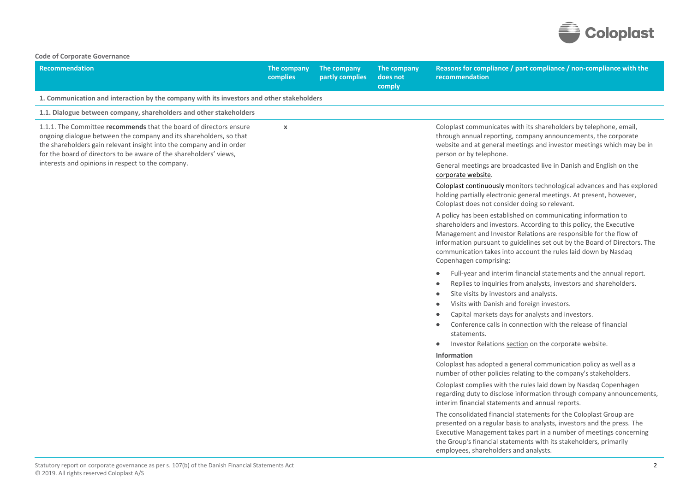

| <b>Recommendation</b>                                                                                                                                                                                                                                                                  | The company<br>complies | The company<br>partly complies | The company<br>does not<br>comply | Reasons for compliance / part compliance / non-compliance with the<br>recommendation                                                                                                                                                                                                                                                                                                                                                                                                 |
|----------------------------------------------------------------------------------------------------------------------------------------------------------------------------------------------------------------------------------------------------------------------------------------|-------------------------|--------------------------------|-----------------------------------|--------------------------------------------------------------------------------------------------------------------------------------------------------------------------------------------------------------------------------------------------------------------------------------------------------------------------------------------------------------------------------------------------------------------------------------------------------------------------------------|
| 1. Communication and interaction by the company with its investors and other stakeholders                                                                                                                                                                                              |                         |                                |                                   |                                                                                                                                                                                                                                                                                                                                                                                                                                                                                      |
| 1.1. Dialogue between company, shareholders and other stakeholders                                                                                                                                                                                                                     |                         |                                |                                   |                                                                                                                                                                                                                                                                                                                                                                                                                                                                                      |
| 1.1.1. The Committee recommends that the board of directors ensure<br>ongoing dialogue between the company and its shareholders, so that<br>the shareholders gain relevant insight into the company and in order<br>for the board of directors to be aware of the shareholders' views, | $\pmb{\chi}$            |                                |                                   | Coloplast communicates with its shareholders by telephone, email,<br>through annual reporting, company announcements, the corporate<br>website and at general meetings and investor meetings which may be in<br>person or by telephone.                                                                                                                                                                                                                                              |
| interests and opinions in respect to the company.                                                                                                                                                                                                                                      |                         |                                |                                   | General meetings are broadcasted live in Danish and English on the<br>corporate website.                                                                                                                                                                                                                                                                                                                                                                                             |
|                                                                                                                                                                                                                                                                                        |                         |                                |                                   | Coloplast continuously monitors technological advances and has explored<br>holding partially electronic general meetings. At present, however,<br>Coloplast does not consider doing so relevant.                                                                                                                                                                                                                                                                                     |
|                                                                                                                                                                                                                                                                                        |                         |                                |                                   | A policy has been established on communicating information to<br>shareholders and investors. According to this policy, the Executive<br>Management and Investor Relations are responsible for the flow of<br>information pursuant to guidelines set out by the Board of Directors. The<br>communication takes into account the rules laid down by Nasdaq<br>Copenhagen comprising:                                                                                                   |
|                                                                                                                                                                                                                                                                                        |                         |                                |                                   | Full-year and interim financial statements and the annual report.<br>٠<br>Replies to inquiries from analysts, investors and shareholders.<br>$\bullet$<br>Site visits by investors and analysts.<br>$\bullet$<br>Visits with Danish and foreign investors.<br>$\bullet$<br>Capital markets days for analysts and investors.<br>Conference calls in connection with the release of financial<br>$\bullet$<br>statements.<br>Investor Relations section on the corporate website.<br>۰ |
|                                                                                                                                                                                                                                                                                        |                         |                                |                                   | Information<br>Coloplast has adopted a general communication policy as well as a<br>number of other policies relating to the company's stakeholders.                                                                                                                                                                                                                                                                                                                                 |
|                                                                                                                                                                                                                                                                                        |                         |                                |                                   | Coloplast complies with the rules laid down by Nasdaq Copenhagen<br>regarding duty to disclose information through company announcements,<br>interim financial statements and annual reports.                                                                                                                                                                                                                                                                                        |
|                                                                                                                                                                                                                                                                                        |                         |                                |                                   | The consolidated financial statements for the Coloplast Group are<br>presented on a regular basis to analysts, investors and the press. The<br>Executive Management takes part in a number of meetings concerning<br>the Group's financial statements with its stakeholders, primarily<br>employees, shareholders and analysts.                                                                                                                                                      |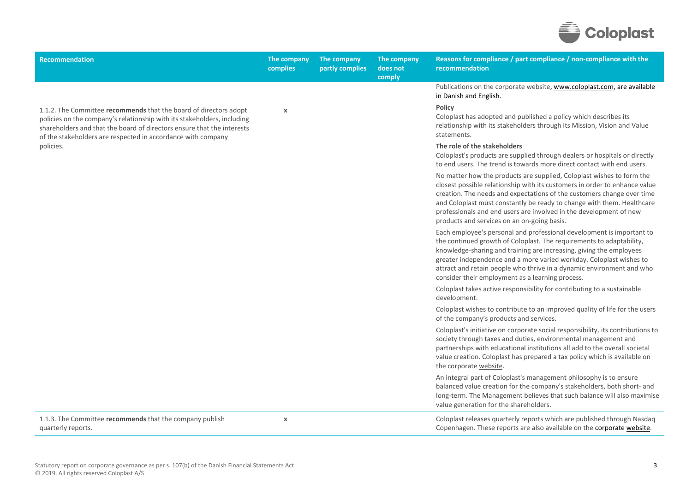

| <b>Recommendation</b>                                                                                                                                                                                                                                                                  | The company<br>complies | The company<br>partly complies | The company<br>does not<br>comply | Reasons for compliance / part compliance / non-compliance with the<br>recommendation                                                                                                                                                                                                                                                                                                                                         |
|----------------------------------------------------------------------------------------------------------------------------------------------------------------------------------------------------------------------------------------------------------------------------------------|-------------------------|--------------------------------|-----------------------------------|------------------------------------------------------------------------------------------------------------------------------------------------------------------------------------------------------------------------------------------------------------------------------------------------------------------------------------------------------------------------------------------------------------------------------|
|                                                                                                                                                                                                                                                                                        |                         |                                |                                   | Publications on the corporate website, www.coloplast.com, are available<br>in Danish and English.                                                                                                                                                                                                                                                                                                                            |
| 1.1.2. The Committee recommends that the board of directors adopt<br>policies on the company's relationship with its stakeholders, including<br>shareholders and that the board of directors ensure that the interests<br>of the stakeholders are respected in accordance with company | $\pmb{\chi}$            |                                |                                   | Policy<br>Coloplast has adopted and published a policy which describes its<br>relationship with its stakeholders through its Mission, Vision and Value<br>statements.                                                                                                                                                                                                                                                        |
| policies.                                                                                                                                                                                                                                                                              |                         |                                |                                   | The role of the stakeholders<br>Coloplast's products are supplied through dealers or hospitals or directly<br>to end users. The trend is towards more direct contact with end users.                                                                                                                                                                                                                                         |
|                                                                                                                                                                                                                                                                                        |                         |                                |                                   | No matter how the products are supplied, Coloplast wishes to form the<br>closest possible relationship with its customers in order to enhance value<br>creation. The needs and expectations of the customers change over time<br>and Coloplast must constantly be ready to change with them. Healthcare<br>professionals and end users are involved in the development of new<br>products and services on an on-going basis. |
|                                                                                                                                                                                                                                                                                        |                         |                                |                                   | Each employee's personal and professional development is important to<br>the continued growth of Coloplast. The requirements to adaptability,<br>knowledge-sharing and training are increasing, giving the employees<br>greater independence and a more varied workday. Coloplast wishes to<br>attract and retain people who thrive in a dynamic environment and who<br>consider their employment as a learning process.     |
|                                                                                                                                                                                                                                                                                        |                         |                                |                                   | Coloplast takes active responsibility for contributing to a sustainable<br>development.                                                                                                                                                                                                                                                                                                                                      |
|                                                                                                                                                                                                                                                                                        |                         |                                |                                   | Coloplast wishes to contribute to an improved quality of life for the users<br>of the company's products and services.                                                                                                                                                                                                                                                                                                       |
|                                                                                                                                                                                                                                                                                        |                         |                                |                                   | Coloplast's initiative on corporate social responsibility, its contributions to<br>society through taxes and duties, environmental management and<br>partnerships with educational institutions all add to the overall societal<br>value creation. Coloplast has prepared a tax policy which is available on<br>the corporate website.                                                                                       |
|                                                                                                                                                                                                                                                                                        |                         |                                |                                   | An integral part of Coloplast's management philosophy is to ensure<br>balanced value creation for the company's stakeholders, both short- and<br>long-term. The Management believes that such balance will also maximise<br>value generation for the shareholders.                                                                                                                                                           |
| 1.1.3. The Committee recommends that the company publish<br>quarterly reports.                                                                                                                                                                                                         | X                       |                                |                                   | Coloplast releases quarterly reports which are published through Nasdaq<br>Copenhagen. These reports are also available on the corporate website.                                                                                                                                                                                                                                                                            |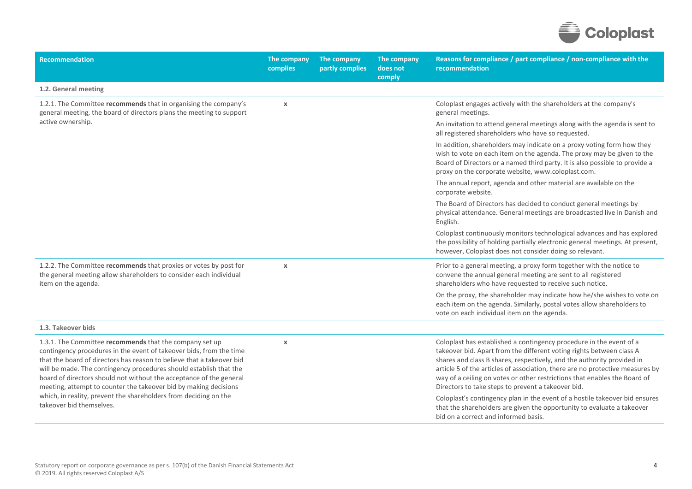

| 1.2. General meeting<br>1.2.1. The Committee recommends that in organising the company's<br>Coloplast engages actively with the shareholders at the company's<br>$\pmb{\chi}$<br>general meeting, the board of directors plans the meeting to support<br>general meetings.<br>active ownership.<br>all registered shareholders who have so requested.<br>proxy on the corporate website, www.coloplast.com.<br>The annual report, agenda and other material are available on the<br>corporate website.<br>The Board of Directors has decided to conduct general meetings by<br>English.<br>however, Coloplast does not consider doing so relevant.<br>1.2.2. The Committee recommends that proxies or votes by post for<br>Prior to a general meeting, a proxy form together with the notice to<br>$\pmb{\times}$<br>the general meeting allow shareholders to consider each individual<br>convene the annual general meeting are sent to all registered<br>item on the agenda.<br>shareholders who have requested to receive such notice.<br>each item on the agenda. Similarly, postal votes allow shareholders to<br>vote on each individual item on the agenda.<br>1.3. Takeover bids<br>1.3.1. The Committee recommends that the company set up<br>Coloplast has established a contingency procedure in the event of a<br>$\pmb{\times}$<br>contingency procedures in the event of takeover bids, from the time<br>takeover bid. Apart from the different voting rights between class A<br>that the board of directors has reason to believe that a takeover bid<br>shares and class B shares, respectively, and the authority provided in<br>will be made. The contingency procedures should establish that the<br>board of directors should not without the acceptance of the general<br>meeting, attempt to counter the takeover bid by making decisions<br>Directors to take steps to prevent a takeover bid. | <b>Recommendation</b>                                            | The company<br>complies | The company<br>partly complies | The company<br>does not<br>comply | Reasons for compliance / part compliance / non-compliance with the<br>recommendation                                                                                                                                                                                                                                |
|------------------------------------------------------------------------------------------------------------------------------------------------------------------------------------------------------------------------------------------------------------------------------------------------------------------------------------------------------------------------------------------------------------------------------------------------------------------------------------------------------------------------------------------------------------------------------------------------------------------------------------------------------------------------------------------------------------------------------------------------------------------------------------------------------------------------------------------------------------------------------------------------------------------------------------------------------------------------------------------------------------------------------------------------------------------------------------------------------------------------------------------------------------------------------------------------------------------------------------------------------------------------------------------------------------------------------------------------------------------------------------------------------------------------------------------------------------------------------------------------------------------------------------------------------------------------------------------------------------------------------------------------------------------------------------------------------------------------------------------------------------------------------------------------------------------------------------------------------------------------------------------------------------------------|------------------------------------------------------------------|-------------------------|--------------------------------|-----------------------------------|---------------------------------------------------------------------------------------------------------------------------------------------------------------------------------------------------------------------------------------------------------------------------------------------------------------------|
|                                                                                                                                                                                                                                                                                                                                                                                                                                                                                                                                                                                                                                                                                                                                                                                                                                                                                                                                                                                                                                                                                                                                                                                                                                                                                                                                                                                                                                                                                                                                                                                                                                                                                                                                                                                                                                                                                                                        |                                                                  |                         |                                |                                   |                                                                                                                                                                                                                                                                                                                     |
|                                                                                                                                                                                                                                                                                                                                                                                                                                                                                                                                                                                                                                                                                                                                                                                                                                                                                                                                                                                                                                                                                                                                                                                                                                                                                                                                                                                                                                                                                                                                                                                                                                                                                                                                                                                                                                                                                                                        |                                                                  |                         |                                |                                   |                                                                                                                                                                                                                                                                                                                     |
|                                                                                                                                                                                                                                                                                                                                                                                                                                                                                                                                                                                                                                                                                                                                                                                                                                                                                                                                                                                                                                                                                                                                                                                                                                                                                                                                                                                                                                                                                                                                                                                                                                                                                                                                                                                                                                                                                                                        |                                                                  |                         |                                |                                   | An invitation to attend general meetings along with the agenda is sent to                                                                                                                                                                                                                                           |
|                                                                                                                                                                                                                                                                                                                                                                                                                                                                                                                                                                                                                                                                                                                                                                                                                                                                                                                                                                                                                                                                                                                                                                                                                                                                                                                                                                                                                                                                                                                                                                                                                                                                                                                                                                                                                                                                                                                        |                                                                  |                         |                                |                                   | In addition, shareholders may indicate on a proxy voting form how they<br>wish to vote on each item on the agenda. The proxy may be given to the<br>Board of Directors or a named third party. It is also possible to provide a                                                                                     |
|                                                                                                                                                                                                                                                                                                                                                                                                                                                                                                                                                                                                                                                                                                                                                                                                                                                                                                                                                                                                                                                                                                                                                                                                                                                                                                                                                                                                                                                                                                                                                                                                                                                                                                                                                                                                                                                                                                                        |                                                                  |                         |                                |                                   |                                                                                                                                                                                                                                                                                                                     |
|                                                                                                                                                                                                                                                                                                                                                                                                                                                                                                                                                                                                                                                                                                                                                                                                                                                                                                                                                                                                                                                                                                                                                                                                                                                                                                                                                                                                                                                                                                                                                                                                                                                                                                                                                                                                                                                                                                                        |                                                                  |                         |                                |                                   | physical attendance. General meetings are broadcasted live in Danish and                                                                                                                                                                                                                                            |
|                                                                                                                                                                                                                                                                                                                                                                                                                                                                                                                                                                                                                                                                                                                                                                                                                                                                                                                                                                                                                                                                                                                                                                                                                                                                                                                                                                                                                                                                                                                                                                                                                                                                                                                                                                                                                                                                                                                        |                                                                  |                         |                                |                                   | Coloplast continuously monitors technological advances and has explored<br>the possibility of holding partially electronic general meetings. At present,                                                                                                                                                            |
|                                                                                                                                                                                                                                                                                                                                                                                                                                                                                                                                                                                                                                                                                                                                                                                                                                                                                                                                                                                                                                                                                                                                                                                                                                                                                                                                                                                                                                                                                                                                                                                                                                                                                                                                                                                                                                                                                                                        |                                                                  |                         |                                |                                   |                                                                                                                                                                                                                                                                                                                     |
|                                                                                                                                                                                                                                                                                                                                                                                                                                                                                                                                                                                                                                                                                                                                                                                                                                                                                                                                                                                                                                                                                                                                                                                                                                                                                                                                                                                                                                                                                                                                                                                                                                                                                                                                                                                                                                                                                                                        |                                                                  |                         |                                |                                   | On the proxy, the shareholder may indicate how he/she wishes to vote on                                                                                                                                                                                                                                             |
|                                                                                                                                                                                                                                                                                                                                                                                                                                                                                                                                                                                                                                                                                                                                                                                                                                                                                                                                                                                                                                                                                                                                                                                                                                                                                                                                                                                                                                                                                                                                                                                                                                                                                                                                                                                                                                                                                                                        |                                                                  |                         |                                |                                   |                                                                                                                                                                                                                                                                                                                     |
| takeover bid themselves.                                                                                                                                                                                                                                                                                                                                                                                                                                                                                                                                                                                                                                                                                                                                                                                                                                                                                                                                                                                                                                                                                                                                                                                                                                                                                                                                                                                                                                                                                                                                                                                                                                                                                                                                                                                                                                                                                               | which, in reality, prevent the shareholders from deciding on the |                         |                                |                                   | article 5 of the articles of association, there are no protective measures by<br>way of a ceiling on votes or other restrictions that enables the Board of<br>Coloplast's contingency plan in the event of a hostile takeover bid ensures<br>that the shareholders are given the opportunity to evaluate a takeover |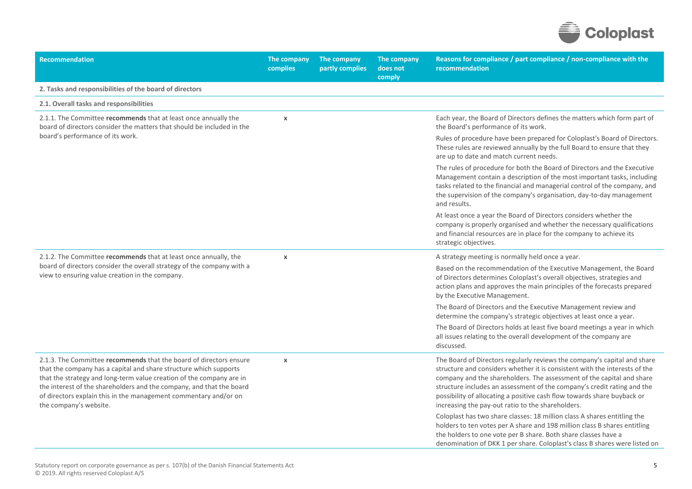

| <b>Recommendation</b>                                                                                                                                                                                                                                                                                                                                                                 | The company<br>complies | The company<br>partly complies | The company<br>does not<br>comply | Reasons for compliance / part compliance / non-compliance with the<br>recommendation                                                                                                                                                                                                                                                                                                                                                       |
|---------------------------------------------------------------------------------------------------------------------------------------------------------------------------------------------------------------------------------------------------------------------------------------------------------------------------------------------------------------------------------------|-------------------------|--------------------------------|-----------------------------------|--------------------------------------------------------------------------------------------------------------------------------------------------------------------------------------------------------------------------------------------------------------------------------------------------------------------------------------------------------------------------------------------------------------------------------------------|
| 2. Tasks and responsibilities of the board of directors                                                                                                                                                                                                                                                                                                                               |                         |                                |                                   |                                                                                                                                                                                                                                                                                                                                                                                                                                            |
| 2.1. Overall tasks and responsibilities                                                                                                                                                                                                                                                                                                                                               |                         |                                |                                   |                                                                                                                                                                                                                                                                                                                                                                                                                                            |
| 2.1.1. The Committee recommends that at least once annually the<br>board of directors consider the matters that should be included in the                                                                                                                                                                                                                                             | $\pmb{\chi}$            |                                |                                   | Each year, the Board of Directors defines the matters which form part of<br>the Board's performance of its work.                                                                                                                                                                                                                                                                                                                           |
| board's performance of its work.                                                                                                                                                                                                                                                                                                                                                      |                         |                                |                                   | Rules of procedure have been prepared for Coloplast's Board of Directors.<br>These rules are reviewed annually by the full Board to ensure that they<br>are up to date and match current needs.                                                                                                                                                                                                                                            |
|                                                                                                                                                                                                                                                                                                                                                                                       |                         |                                |                                   | The rules of procedure for both the Board of Directors and the Executive<br>Management contain a description of the most important tasks, including<br>tasks related to the financial and managerial control of the company, and<br>the supervision of the company's organisation, day-to-day management<br>and results.                                                                                                                   |
|                                                                                                                                                                                                                                                                                                                                                                                       |                         |                                |                                   | At least once a year the Board of Directors considers whether the<br>company is properly organised and whether the necessary qualifications<br>and financial resources are in place for the company to achieve its<br>strategic objectives.                                                                                                                                                                                                |
| 2.1.2. The Committee recommends that at least once annually, the                                                                                                                                                                                                                                                                                                                      | $\pmb{\chi}$            |                                |                                   | A strategy meeting is normally held once a year.                                                                                                                                                                                                                                                                                                                                                                                           |
| board of directors consider the overall strategy of the company with a<br>view to ensuring value creation in the company.                                                                                                                                                                                                                                                             |                         |                                |                                   | Based on the recommendation of the Executive Management, the Board<br>of Directors determines Coloplast's overall objectives, strategies and<br>action plans and approves the main principles of the forecasts prepared<br>by the Executive Management.                                                                                                                                                                                    |
|                                                                                                                                                                                                                                                                                                                                                                                       |                         |                                |                                   | The Board of Directors and the Executive Management review and<br>determine the company's strategic objectives at least once a year.                                                                                                                                                                                                                                                                                                       |
|                                                                                                                                                                                                                                                                                                                                                                                       |                         |                                |                                   | The Board of Directors holds at least five board meetings a year in which<br>all issues relating to the overall development of the company are<br>discussed.                                                                                                                                                                                                                                                                               |
| 2.1.3. The Committee recommends that the board of directors ensure<br>that the company has a capital and share structure which supports<br>that the strategy and long-term value creation of the company are in<br>the interest of the shareholders and the company, and that the board<br>of directors explain this in the management commentary and/or on<br>the company's website. | $\pmb{\chi}$            |                                |                                   | The Board of Directors regularly reviews the company's capital and share<br>structure and considers whether it is consistent with the interests of the<br>company and the shareholders. The assessment of the capital and share<br>structure includes an assessment of the company's credit rating and the<br>possibility of allocating a positive cash flow towards share buyback or<br>increasing the pay-out ratio to the shareholders. |
|                                                                                                                                                                                                                                                                                                                                                                                       |                         |                                |                                   | Coloplast has two share classes: 18 million class A shares entitling the<br>holders to ten votes per A share and 198 million class B shares entitling<br>the holders to one vote per B share. Both share classes have a<br>denomination of DKK 1 per share. Coloplast's class B shares were listed on                                                                                                                                      |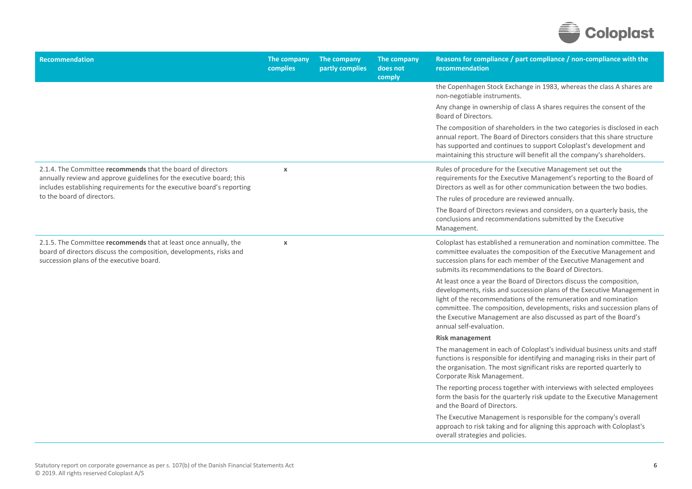

| <b>Recommendation</b>                                                                                                                                                                                         | The company<br>complies | The company<br>partly complies | The company<br>does not<br>comply | Reasons for compliance / part compliance / non-compliance with the<br>recommendation                                                                                                                                                                                                                                                                                                           |
|---------------------------------------------------------------------------------------------------------------------------------------------------------------------------------------------------------------|-------------------------|--------------------------------|-----------------------------------|------------------------------------------------------------------------------------------------------------------------------------------------------------------------------------------------------------------------------------------------------------------------------------------------------------------------------------------------------------------------------------------------|
|                                                                                                                                                                                                               |                         |                                |                                   | the Copenhagen Stock Exchange in 1983, whereas the class A shares are<br>non-negotiable instruments.                                                                                                                                                                                                                                                                                           |
|                                                                                                                                                                                                               |                         |                                |                                   | Any change in ownership of class A shares requires the consent of the<br>Board of Directors.                                                                                                                                                                                                                                                                                                   |
|                                                                                                                                                                                                               |                         |                                |                                   | The composition of shareholders in the two categories is disclosed in each<br>annual report. The Board of Directors considers that this share structure<br>has supported and continues to support Coloplast's development and<br>maintaining this structure will benefit all the company's shareholders.                                                                                       |
| 2.1.4. The Committee recommends that the board of directors<br>annually review and approve guidelines for the executive board; this<br>includes establishing requirements for the executive board's reporting | $\pmb{\chi}$            |                                |                                   | Rules of procedure for the Executive Management set out the<br>requirements for the Executive Management's reporting to the Board of<br>Directors as well as for other communication between the two bodies.                                                                                                                                                                                   |
| to the board of directors.                                                                                                                                                                                    |                         |                                |                                   | The rules of procedure are reviewed annually.                                                                                                                                                                                                                                                                                                                                                  |
|                                                                                                                                                                                                               |                         |                                |                                   | The Board of Directors reviews and considers, on a quarterly basis, the<br>conclusions and recommendations submitted by the Executive<br>Management.                                                                                                                                                                                                                                           |
| 2.1.5. The Committee recommends that at least once annually, the<br>board of directors discuss the composition, developments, risks and<br>succession plans of the executive board.                           | $\pmb{\chi}$            |                                |                                   | Coloplast has established a remuneration and nomination committee. The<br>committee evaluates the composition of the Executive Management and<br>succession plans for each member of the Executive Management and<br>submits its recommendations to the Board of Directors.                                                                                                                    |
|                                                                                                                                                                                                               |                         |                                |                                   | At least once a year the Board of Directors discuss the composition,<br>developments, risks and succession plans of the Executive Management in<br>light of the recommendations of the remuneration and nomination<br>committee. The composition, developments, risks and succession plans of<br>the Executive Management are also discussed as part of the Board's<br>annual self-evaluation. |
|                                                                                                                                                                                                               |                         |                                |                                   | <b>Risk management</b>                                                                                                                                                                                                                                                                                                                                                                         |
|                                                                                                                                                                                                               |                         |                                |                                   | The management in each of Coloplast's individual business units and staff<br>functions is responsible for identifying and managing risks in their part of<br>the organisation. The most significant risks are reported quarterly to<br>Corporate Risk Management.                                                                                                                              |
|                                                                                                                                                                                                               |                         |                                |                                   | The reporting process together with interviews with selected employees<br>form the basis for the quarterly risk update to the Executive Management<br>and the Board of Directors.                                                                                                                                                                                                              |
|                                                                                                                                                                                                               |                         |                                |                                   | The Executive Management is responsible for the company's overall<br>approach to risk taking and for aligning this approach with Coloplast's<br>overall strategies and policies.                                                                                                                                                                                                               |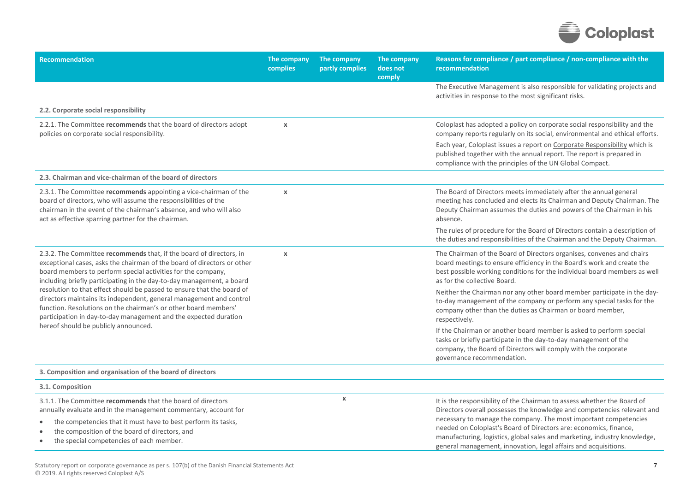

| Recommendation                                                                                                                                                                                                                                                                                                                                                                                                                                                                                                                                                                  | The company<br>complies | The company<br>partly complies | The company<br>does not<br>comply | Reasons for compliance / part compliance / non-compliance with the<br>recommendation                                                                                                                                                                                                                                                                                                                                                        |
|---------------------------------------------------------------------------------------------------------------------------------------------------------------------------------------------------------------------------------------------------------------------------------------------------------------------------------------------------------------------------------------------------------------------------------------------------------------------------------------------------------------------------------------------------------------------------------|-------------------------|--------------------------------|-----------------------------------|---------------------------------------------------------------------------------------------------------------------------------------------------------------------------------------------------------------------------------------------------------------------------------------------------------------------------------------------------------------------------------------------------------------------------------------------|
|                                                                                                                                                                                                                                                                                                                                                                                                                                                                                                                                                                                 |                         |                                |                                   | The Executive Management is also responsible for validating projects and<br>activities in response to the most significant risks.                                                                                                                                                                                                                                                                                                           |
| 2.2. Corporate social responsibility                                                                                                                                                                                                                                                                                                                                                                                                                                                                                                                                            |                         |                                |                                   |                                                                                                                                                                                                                                                                                                                                                                                                                                             |
| 2.2.1. The Committee recommends that the board of directors adopt<br>policies on corporate social responsibility.                                                                                                                                                                                                                                                                                                                                                                                                                                                               | $\pmb{\chi}$            |                                |                                   | Coloplast has adopted a policy on corporate social responsibility and the<br>company reports regularly on its social, environmental and ethical efforts.                                                                                                                                                                                                                                                                                    |
|                                                                                                                                                                                                                                                                                                                                                                                                                                                                                                                                                                                 |                         |                                |                                   | Each year, Coloplast issues a report on Corporate Responsibility which is<br>published together with the annual report. The report is prepared in<br>compliance with the principles of the UN Global Compact.                                                                                                                                                                                                                               |
| 2.3. Chairman and vice-chairman of the board of directors                                                                                                                                                                                                                                                                                                                                                                                                                                                                                                                       |                         |                                |                                   |                                                                                                                                                                                                                                                                                                                                                                                                                                             |
| 2.3.1. The Committee recommends appointing a vice-chairman of the<br>board of directors, who will assume the responsibilities of the<br>chairman in the event of the chairman's absence, and who will also<br>act as effective sparring partner for the chairman.                                                                                                                                                                                                                                                                                                               | $\boldsymbol{\chi}$     |                                |                                   | The Board of Directors meets immediately after the annual general<br>meeting has concluded and elects its Chairman and Deputy Chairman. The<br>Deputy Chairman assumes the duties and powers of the Chairman in his<br>absence.                                                                                                                                                                                                             |
|                                                                                                                                                                                                                                                                                                                                                                                                                                                                                                                                                                                 |                         |                                |                                   | The rules of procedure for the Board of Directors contain a description of<br>the duties and responsibilities of the Chairman and the Deputy Chairman.                                                                                                                                                                                                                                                                                      |
| 2.3.2. The Committee recommends that, if the board of directors, in<br>exceptional cases, asks the chairman of the board of directors or other<br>board members to perform special activities for the company,<br>including briefly participating in the day-to-day management, a board<br>resolution to that effect should be passed to ensure that the board of<br>directors maintains its independent, general management and control<br>function. Resolutions on the chairman's or other board members'<br>participation in day-to-day management and the expected duration | $\pmb{\chi}$            |                                |                                   | The Chairman of the Board of Directors organises, convenes and chairs<br>board meetings to ensure efficiency in the Board's work and create the<br>best possible working conditions for the individual board members as well<br>as for the collective Board.                                                                                                                                                                                |
|                                                                                                                                                                                                                                                                                                                                                                                                                                                                                                                                                                                 |                         |                                |                                   | Neither the Chairman nor any other board member participate in the day-<br>to-day management of the company or perform any special tasks for the<br>company other than the duties as Chairman or board member,<br>respectively.                                                                                                                                                                                                             |
| hereof should be publicly announced.                                                                                                                                                                                                                                                                                                                                                                                                                                                                                                                                            |                         |                                |                                   | If the Chairman or another board member is asked to perform special<br>tasks or briefly participate in the day-to-day management of the<br>company, the Board of Directors will comply with the corporate<br>governance recommendation.                                                                                                                                                                                                     |
| 3. Composition and organisation of the board of directors                                                                                                                                                                                                                                                                                                                                                                                                                                                                                                                       |                         |                                |                                   |                                                                                                                                                                                                                                                                                                                                                                                                                                             |
| 3.1. Composition                                                                                                                                                                                                                                                                                                                                                                                                                                                                                                                                                                |                         |                                |                                   |                                                                                                                                                                                                                                                                                                                                                                                                                                             |
| 3.1.1. The Committee recommends that the board of directors<br>annually evaluate and in the management commentary, account for<br>the competencies that it must have to best perform its tasks,<br>the composition of the board of directors, and<br>the special competencies of each member.<br>$\bullet$                                                                                                                                                                                                                                                                      |                         | $\boldsymbol{\mathsf{x}}$      |                                   | It is the responsibility of the Chairman to assess whether the Board of<br>Directors overall possesses the knowledge and competencies relevant and<br>necessary to manage the company. The most important competencies<br>needed on Coloplast's Board of Directors are: economics, finance,<br>manufacturing, logistics, global sales and marketing, industry knowledge,<br>general management, innovation, legal affairs and acquisitions. |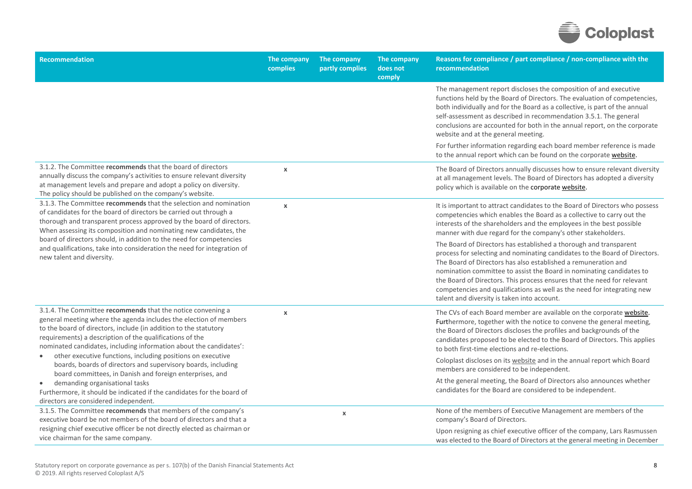

| <b>Recommendation</b>                                                                                                                                                                                                                                                                                                                                                                                                                                                                                                                                                                                                                                                                                             | The company<br>complies   | The company<br>partly complies | The company<br>does not<br>comply | Reasons for compliance / part compliance / non-compliance with the<br>recommendation                                                                                                                                                                                                                                                                                                                                                                                                                                                                                                                                                                                                                                                                                                           |
|-------------------------------------------------------------------------------------------------------------------------------------------------------------------------------------------------------------------------------------------------------------------------------------------------------------------------------------------------------------------------------------------------------------------------------------------------------------------------------------------------------------------------------------------------------------------------------------------------------------------------------------------------------------------------------------------------------------------|---------------------------|--------------------------------|-----------------------------------|------------------------------------------------------------------------------------------------------------------------------------------------------------------------------------------------------------------------------------------------------------------------------------------------------------------------------------------------------------------------------------------------------------------------------------------------------------------------------------------------------------------------------------------------------------------------------------------------------------------------------------------------------------------------------------------------------------------------------------------------------------------------------------------------|
|                                                                                                                                                                                                                                                                                                                                                                                                                                                                                                                                                                                                                                                                                                                   |                           |                                |                                   | The management report discloses the composition of and executive<br>functions held by the Board of Directors. The evaluation of competencies,<br>both individually and for the Board as a collective, is part of the annual<br>self-assessment as described in recommendation 3.5.1. The general<br>conclusions are accounted for both in the annual report, on the corporate<br>website and at the general meeting.                                                                                                                                                                                                                                                                                                                                                                           |
|                                                                                                                                                                                                                                                                                                                                                                                                                                                                                                                                                                                                                                                                                                                   |                           |                                |                                   | For further information regarding each board member reference is made<br>to the annual report which can be found on the corporate website.                                                                                                                                                                                                                                                                                                                                                                                                                                                                                                                                                                                                                                                     |
| 3.1.2. The Committee recommends that the board of directors<br>annually discuss the company's activities to ensure relevant diversity<br>at management levels and prepare and adopt a policy on diversity.<br>The policy should be published on the company's website.                                                                                                                                                                                                                                                                                                                                                                                                                                            | $\boldsymbol{\mathsf{x}}$ |                                |                                   | The Board of Directors annually discusses how to ensure relevant diversity<br>at all management levels. The Board of Directors has adopted a diversity<br>policy which is available on the corporate website.                                                                                                                                                                                                                                                                                                                                                                                                                                                                                                                                                                                  |
| 3.1.3. The Committee recommends that the selection and nomination<br>of candidates for the board of directors be carried out through a<br>thorough and transparent process approved by the board of directors.<br>When assessing its composition and nominating new candidates, the<br>board of directors should, in addition to the need for competencies<br>and qualifications, take into consideration the need for integration of<br>new talent and diversity.                                                                                                                                                                                                                                                | $\pmb{\chi}$              |                                |                                   | It is important to attract candidates to the Board of Directors who possess<br>competencies which enables the Board as a collective to carry out the<br>interests of the shareholders and the employees in the best possible<br>manner with due regard for the company's other stakeholders.<br>The Board of Directors has established a thorough and transparent<br>process for selecting and nominating candidates to the Board of Directors.<br>The Board of Directors has also established a remuneration and<br>nomination committee to assist the Board in nominating candidates to<br>the Board of Directors. This process ensures that the need for relevant<br>competencies and qualifications as well as the need for integrating new<br>talent and diversity is taken into account. |
| 3.1.4. The Committee recommends that the notice convening a<br>general meeting where the agenda includes the election of members<br>to the board of directors, include (in addition to the statutory<br>requirements) a description of the qualifications of the<br>nominated candidates, including information about the candidates':<br>other executive functions, including positions on executive<br>$\bullet$<br>boards, boards of directors and supervisory boards, including<br>board committees, in Danish and foreign enterprises, and<br>demanding organisational tasks<br>$\bullet$<br>Furthermore, it should be indicated if the candidates for the board of<br>directors are considered independent. | $\pmb{\chi}$              |                                |                                   | The CVs of each Board member are available on the corporate website.<br>Furthermore, together with the notice to convene the general meeting,<br>the Board of Directors discloses the profiles and backgrounds of the<br>candidates proposed to be elected to the Board of Directors. This applies<br>to both first-time elections and re-elections.<br>Coloplast discloses on its website and in the annual report which Board<br>members are considered to be independent.<br>At the general meeting, the Board of Directors also announces whether<br>candidates for the Board are considered to be independent.                                                                                                                                                                            |
| 3.1.5. The Committee recommends that members of the company's<br>executive board be not members of the board of directors and that a<br>resigning chief executive officer be not directly elected as chairman or<br>vice chairman for the same company.                                                                                                                                                                                                                                                                                                                                                                                                                                                           |                           | $\pmb{\chi}$                   |                                   | None of the members of Executive Management are members of the<br>company's Board of Directors.<br>Upon resigning as chief executive officer of the company, Lars Rasmussen<br>was elected to the Board of Directors at the general meeting in December                                                                                                                                                                                                                                                                                                                                                                                                                                                                                                                                        |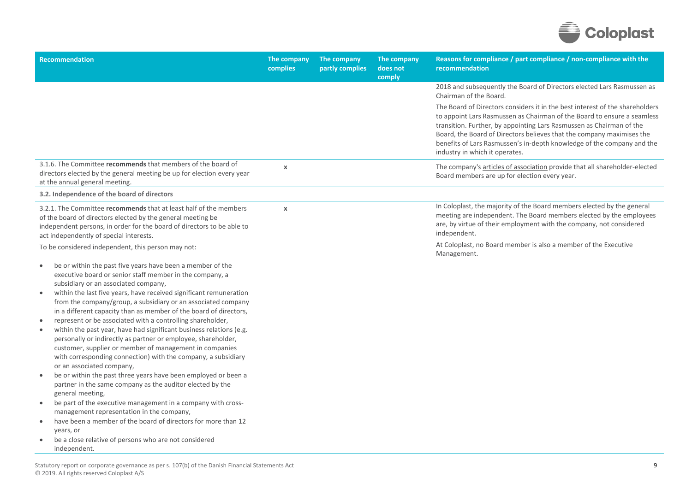

| <b>Recommendation</b>                                                                                                                                                                                                                                                                                       | The company<br>complies | The company<br>partly complies | The company<br>does not<br>comply | Reasons for compliance / part compliance / non-compliance with the<br>recommendation                                                                                                                                                                                                                                                                                                                                 |
|-------------------------------------------------------------------------------------------------------------------------------------------------------------------------------------------------------------------------------------------------------------------------------------------------------------|-------------------------|--------------------------------|-----------------------------------|----------------------------------------------------------------------------------------------------------------------------------------------------------------------------------------------------------------------------------------------------------------------------------------------------------------------------------------------------------------------------------------------------------------------|
|                                                                                                                                                                                                                                                                                                             |                         |                                |                                   | 2018 and subsequently the Board of Directors elected Lars Rasmussen as<br>Chairman of the Board.                                                                                                                                                                                                                                                                                                                     |
|                                                                                                                                                                                                                                                                                                             |                         |                                |                                   | The Board of Directors considers it in the best interest of the shareholders<br>to appoint Lars Rasmussen as Chairman of the Board to ensure a seamless<br>transition. Further, by appointing Lars Rasmussen as Chairman of the<br>Board, the Board of Directors believes that the company maximises the<br>benefits of Lars Rasmussen's in-depth knowledge of the company and the<br>industry in which it operates. |
| 3.1.6. The Committee recommends that members of the board of<br>directors elected by the general meeting be up for election every year<br>at the annual general meeting.                                                                                                                                    | $\pmb{\chi}$            |                                |                                   | The company's articles of association provide that all shareholder-elected<br>Board members are up for election every year.                                                                                                                                                                                                                                                                                          |
| 3.2. Independence of the board of directors                                                                                                                                                                                                                                                                 |                         |                                |                                   |                                                                                                                                                                                                                                                                                                                                                                                                                      |
| 3.2.1. The Committee recommends that at least half of the members<br>of the board of directors elected by the general meeting be<br>independent persons, in order for the board of directors to be able to<br>act independently of special interests.<br>To be considered independent, this person may not: | $\boldsymbol{\chi}$     |                                |                                   | In Coloplast, the majority of the Board members elected by the general<br>meeting are independent. The Board members elected by the employees<br>are, by virtue of their employment with the company, not considered<br>independent.<br>At Coloplast, no Board member is also a member of the Executive<br>Management.                                                                                               |
| be or within the past five years have been a member of the<br>$\bullet$                                                                                                                                                                                                                                     |                         |                                |                                   |                                                                                                                                                                                                                                                                                                                                                                                                                      |
| executive board or senior staff member in the company, a<br>subsidiary or an associated company,                                                                                                                                                                                                            |                         |                                |                                   |                                                                                                                                                                                                                                                                                                                                                                                                                      |
| within the last five years, have received significant remuneration<br>$\bullet$<br>from the company/group, a subsidiary or an associated company<br>in a different capacity than as member of the board of directors,                                                                                       |                         |                                |                                   |                                                                                                                                                                                                                                                                                                                                                                                                                      |
| represent or be associated with a controlling shareholder,<br>$\bullet$                                                                                                                                                                                                                                     |                         |                                |                                   |                                                                                                                                                                                                                                                                                                                                                                                                                      |
| within the past year, have had significant business relations (e.g.<br>$\bullet$<br>personally or indirectly as partner or employee, shareholder,<br>customer, supplier or member of management in companies<br>with corresponding connection) with the company, a subsidiary<br>or an associated company,  |                         |                                |                                   |                                                                                                                                                                                                                                                                                                                                                                                                                      |
| be or within the past three years have been employed or been a<br>partner in the same company as the auditor elected by the<br>general meeting,                                                                                                                                                             |                         |                                |                                   |                                                                                                                                                                                                                                                                                                                                                                                                                      |
| be part of the executive management in a company with cross-<br>$\bullet$                                                                                                                                                                                                                                   |                         |                                |                                   |                                                                                                                                                                                                                                                                                                                                                                                                                      |
| management representation in the company,<br>have been a member of the board of directors for more than 12<br>$\bullet$                                                                                                                                                                                     |                         |                                |                                   |                                                                                                                                                                                                                                                                                                                                                                                                                      |
| years, or                                                                                                                                                                                                                                                                                                   |                         |                                |                                   |                                                                                                                                                                                                                                                                                                                                                                                                                      |
| be a close relative of persons who are not considered<br>independent.                                                                                                                                                                                                                                       |                         |                                |                                   |                                                                                                                                                                                                                                                                                                                                                                                                                      |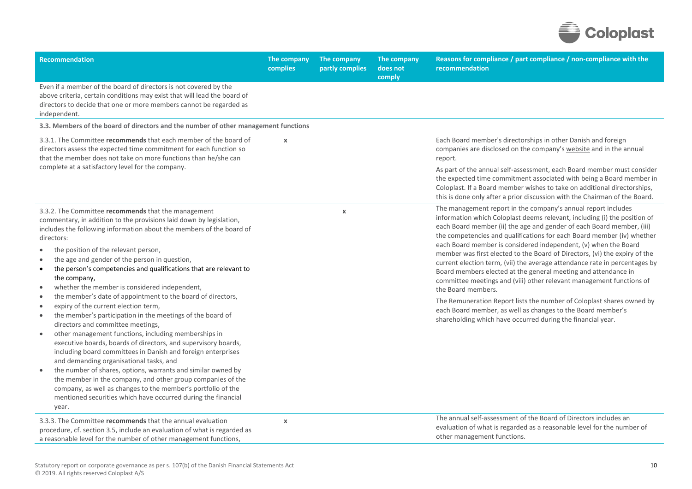

| Recommendation                                                                                                                                                                                                                                                                                                                                                                                                                                                                                                                                                                                                                                                                                                                                                                                                                                                                                                                                                                                                                                                                                                                                                                                                              | The company<br>complies   | The company<br>partly complies | The company<br>does not<br>comply | Reasons for compliance / part compliance / non-compliance with the<br>recommendation                                                                                                                                                                                                                                                                                                                                                                                                                                                                                                                                                                                                                                                                                                                                                                                                                                                                                              |
|-----------------------------------------------------------------------------------------------------------------------------------------------------------------------------------------------------------------------------------------------------------------------------------------------------------------------------------------------------------------------------------------------------------------------------------------------------------------------------------------------------------------------------------------------------------------------------------------------------------------------------------------------------------------------------------------------------------------------------------------------------------------------------------------------------------------------------------------------------------------------------------------------------------------------------------------------------------------------------------------------------------------------------------------------------------------------------------------------------------------------------------------------------------------------------------------------------------------------------|---------------------------|--------------------------------|-----------------------------------|-----------------------------------------------------------------------------------------------------------------------------------------------------------------------------------------------------------------------------------------------------------------------------------------------------------------------------------------------------------------------------------------------------------------------------------------------------------------------------------------------------------------------------------------------------------------------------------------------------------------------------------------------------------------------------------------------------------------------------------------------------------------------------------------------------------------------------------------------------------------------------------------------------------------------------------------------------------------------------------|
| Even if a member of the board of directors is not covered by the<br>above criteria, certain conditions may exist that will lead the board of<br>directors to decide that one or more members cannot be regarded as<br>independent.                                                                                                                                                                                                                                                                                                                                                                                                                                                                                                                                                                                                                                                                                                                                                                                                                                                                                                                                                                                          |                           |                                |                                   |                                                                                                                                                                                                                                                                                                                                                                                                                                                                                                                                                                                                                                                                                                                                                                                                                                                                                                                                                                                   |
| 3.3. Members of the board of directors and the number of other management functions                                                                                                                                                                                                                                                                                                                                                                                                                                                                                                                                                                                                                                                                                                                                                                                                                                                                                                                                                                                                                                                                                                                                         |                           |                                |                                   |                                                                                                                                                                                                                                                                                                                                                                                                                                                                                                                                                                                                                                                                                                                                                                                                                                                                                                                                                                                   |
| 3.3.1. The Committee recommends that each member of the board of<br>directors assess the expected time commitment for each function so<br>that the member does not take on more functions than he/she can<br>complete at a satisfactory level for the company.                                                                                                                                                                                                                                                                                                                                                                                                                                                                                                                                                                                                                                                                                                                                                                                                                                                                                                                                                              | $\boldsymbol{\mathsf{x}}$ |                                |                                   | Each Board member's directorships in other Danish and foreign<br>companies are disclosed on the company's website and in the annual<br>report.<br>As part of the annual self-assessment, each Board member must consider<br>the expected time commitment associated with being a Board member in<br>Coloplast. If a Board member wishes to take on additional directorships,                                                                                                                                                                                                                                                                                                                                                                                                                                                                                                                                                                                                      |
| 3.3.2. The Committee recommends that the management<br>commentary, in addition to the provisions laid down by legislation,<br>includes the following information about the members of the board of<br>directors:<br>the position of the relevant person,<br>the age and gender of the person in question,<br>the person's competencies and qualifications that are relevant to<br>$\bullet$<br>the company,<br>whether the member is considered independent,<br>the member's date of appointment to the board of directors,<br>$\bullet$<br>expiry of the current election term,<br>$\bullet$<br>the member's participation in the meetings of the board of<br>directors and committee meetings,<br>other management functions, including memberships in<br>$\bullet$<br>executive boards, boards of directors, and supervisory boards,<br>including board committees in Danish and foreign enterprises<br>and demanding organisational tasks, and<br>the number of shares, options, warrants and similar owned by<br>the member in the company, and other group companies of the<br>company, as well as changes to the member's portfolio of the<br>mentioned securities which have occurred during the financial<br>year. |                           | $\pmb{\chi}$                   |                                   | this is done only after a prior discussion with the Chairman of the Board.<br>The management report in the company's annual report includes<br>information which Coloplast deems relevant, including (i) the position of<br>each Board member (ii) the age and gender of each Board member, (iii)<br>the competencies and qualifications for each Board member (iv) whether<br>each Board member is considered independent, (v) when the Board<br>member was first elected to the Board of Directors, (vi) the expiry of the<br>current election term, (vii) the average attendance rate in percentages by<br>Board members elected at the general meeting and attendance in<br>committee meetings and (viii) other relevant management functions of<br>the Board members.<br>The Remuneration Report lists the number of Coloplast shares owned by<br>each Board member, as well as changes to the Board member's<br>shareholding which have occurred during the financial year. |
| 3.3.3. The Committee recommends that the annual evaluation<br>procedure, cf. section 3.5, include an evaluation of what is regarded as<br>a reasonable level for the number of other management functions,                                                                                                                                                                                                                                                                                                                                                                                                                                                                                                                                                                                                                                                                                                                                                                                                                                                                                                                                                                                                                  | $\pmb{\chi}$              |                                |                                   | The annual self-assessment of the Board of Directors includes an<br>evaluation of what is regarded as a reasonable level for the number of<br>other management functions.                                                                                                                                                                                                                                                                                                                                                                                                                                                                                                                                                                                                                                                                                                                                                                                                         |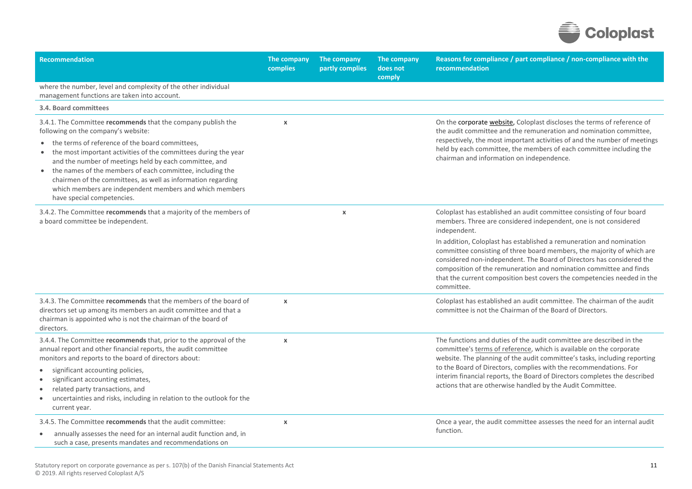

| <b>Recommendation</b>                                                                                                                                                                                                                                                                                                                                                                                                                                                                                     | The company<br>complies   | The company<br>partly complies | The company<br>does not<br>comply | Reasons for compliance / part compliance / non-compliance with the<br>recommendation                                                                                                                                                                                                                                                                                                                                                                                                                                                                |
|-----------------------------------------------------------------------------------------------------------------------------------------------------------------------------------------------------------------------------------------------------------------------------------------------------------------------------------------------------------------------------------------------------------------------------------------------------------------------------------------------------------|---------------------------|--------------------------------|-----------------------------------|-----------------------------------------------------------------------------------------------------------------------------------------------------------------------------------------------------------------------------------------------------------------------------------------------------------------------------------------------------------------------------------------------------------------------------------------------------------------------------------------------------------------------------------------------------|
| where the number, level and complexity of the other individual<br>management functions are taken into account.                                                                                                                                                                                                                                                                                                                                                                                            |                           |                                |                                   |                                                                                                                                                                                                                                                                                                                                                                                                                                                                                                                                                     |
| 3.4. Board committees                                                                                                                                                                                                                                                                                                                                                                                                                                                                                     |                           |                                |                                   |                                                                                                                                                                                                                                                                                                                                                                                                                                                                                                                                                     |
| 3.4.1. The Committee recommends that the company publish the<br>following on the company's website:<br>the terms of reference of the board committees,<br>the most important activities of the committees during the year<br>and the number of meetings held by each committee, and<br>the names of the members of each committee, including the<br>chairmen of the committees, as well as information regarding<br>which members are independent members and which members<br>have special competencies. | $\boldsymbol{\mathsf{x}}$ |                                |                                   | On the corporate website, Coloplast discloses the terms of reference of<br>the audit committee and the remuneration and nomination committee,<br>respectively, the most important activities of and the number of meetings<br>held by each committee, the members of each committee including the<br>chairman and information on independence.                                                                                                                                                                                                      |
| 3.4.2. The Committee recommends that a majority of the members of<br>a board committee be independent.                                                                                                                                                                                                                                                                                                                                                                                                    |                           | $\pmb{\chi}$                   |                                   | Coloplast has established an audit committee consisting of four board<br>members. Three are considered independent, one is not considered<br>independent.<br>In addition, Coloplast has established a remuneration and nomination<br>committee consisting of three board members, the majority of which are<br>considered non-independent. The Board of Directors has considered the<br>composition of the remuneration and nomination committee and finds<br>that the current composition best covers the competencies needed in the<br>committee. |
| 3.4.3. The Committee recommends that the members of the board of<br>directors set up among its members an audit committee and that a<br>chairman is appointed who is not the chairman of the board of<br>directors.                                                                                                                                                                                                                                                                                       | $\mathbf x$               |                                |                                   | Coloplast has established an audit committee. The chairman of the audit<br>committee is not the Chairman of the Board of Directors.                                                                                                                                                                                                                                                                                                                                                                                                                 |
| 3.4.4. The Committee recommends that, prior to the approval of the<br>annual report and other financial reports, the audit committee<br>monitors and reports to the board of directors about:<br>significant accounting policies,<br>significant accounting estimates,<br>related party transactions, and<br>uncertainties and risks, including in relation to the outlook for the<br>$\bullet$<br>current year.                                                                                          | $\pmb{\chi}$              |                                |                                   | The functions and duties of the audit committee are described in the<br>committee's terms of reference, which is available on the corporate<br>website. The planning of the audit committee's tasks, including reporting<br>to the Board of Directors, complies with the recommendations. For<br>interim financial reports, the Board of Directors completes the described<br>actions that are otherwise handled by the Audit Committee.                                                                                                            |
| 3.4.5. The Committee recommends that the audit committee:<br>annually assesses the need for an internal audit function and, in<br>$\bullet$<br>such a case, presents mandates and recommendations on                                                                                                                                                                                                                                                                                                      | $\pmb{\chi}$              |                                |                                   | Once a year, the audit committee assesses the need for an internal audit<br>function.                                                                                                                                                                                                                                                                                                                                                                                                                                                               |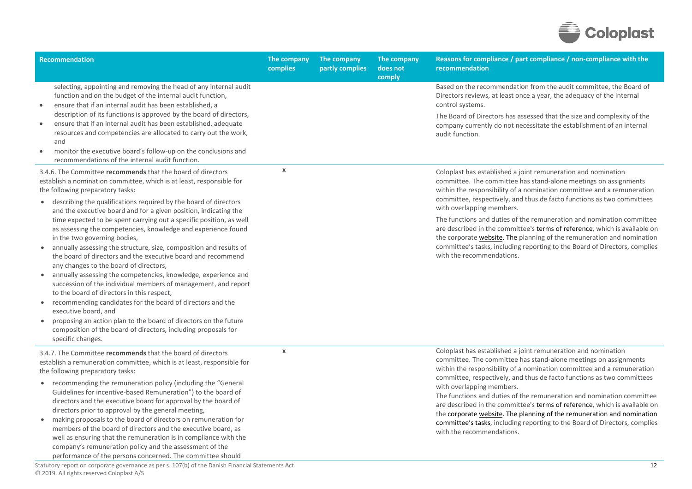

| <b>Recommendation</b>                                                                                                                                                                                                                                                                                                                                                                                                                                                                                                                                                                                                                                                                                                                                                                                                                                                                                                                                                                                                                                                                                                                                          | The company<br>complies   | The company<br>partly complies | The company<br>does not<br>comply | Reasons for compliance / part compliance / non-compliance with the<br>recommendation                                                                                                                                                                                                                                                                                                                                                                                                                                                                                                                                                                                 |
|----------------------------------------------------------------------------------------------------------------------------------------------------------------------------------------------------------------------------------------------------------------------------------------------------------------------------------------------------------------------------------------------------------------------------------------------------------------------------------------------------------------------------------------------------------------------------------------------------------------------------------------------------------------------------------------------------------------------------------------------------------------------------------------------------------------------------------------------------------------------------------------------------------------------------------------------------------------------------------------------------------------------------------------------------------------------------------------------------------------------------------------------------------------|---------------------------|--------------------------------|-----------------------------------|----------------------------------------------------------------------------------------------------------------------------------------------------------------------------------------------------------------------------------------------------------------------------------------------------------------------------------------------------------------------------------------------------------------------------------------------------------------------------------------------------------------------------------------------------------------------------------------------------------------------------------------------------------------------|
| selecting, appointing and removing the head of any internal audit<br>function and on the budget of the internal audit function,<br>ensure that if an internal audit has been established, a<br>description of its functions is approved by the board of directors,<br>ensure that if an internal audit has been established, adequate<br>$\bullet$<br>resources and competencies are allocated to carry out the work,<br>and<br>monitor the executive board's follow-up on the conclusions and<br>$\bullet$<br>recommendations of the internal audit function.                                                                                                                                                                                                                                                                                                                                                                                                                                                                                                                                                                                                 |                           |                                |                                   | Based on the recommendation from the audit committee, the Board of<br>Directors reviews, at least once a year, the adequacy of the internal<br>control systems.<br>The Board of Directors has assessed that the size and complexity of the<br>company currently do not necessitate the establishment of an internal<br>audit function.                                                                                                                                                                                                                                                                                                                               |
| 3.4.6. The Committee recommends that the board of directors<br>establish a nomination committee, which is at least, responsible for<br>the following preparatory tasks:<br>describing the qualifications required by the board of directors<br>$\bullet$<br>and the executive board and for a given position, indicating the<br>time expected to be spent carrying out a specific position, as well<br>as assessing the competencies, knowledge and experience found<br>in the two governing bodies,<br>annually assessing the structure, size, composition and results of<br>$\bullet$<br>the board of directors and the executive board and recommend<br>any changes to the board of directors,<br>annually assessing the competencies, knowledge, experience and<br>succession of the individual members of management, and report<br>to the board of directors in this respect,<br>recommending candidates for the board of directors and the<br>$\bullet$<br>executive board, and<br>proposing an action plan to the board of directors on the future<br>$\bullet$<br>composition of the board of directors, including proposals for<br>specific changes. | $\mathbf x$               |                                |                                   | Coloplast has established a joint remuneration and nomination<br>committee. The committee has stand-alone meetings on assignments<br>within the responsibility of a nomination committee and a remuneration<br>committee, respectively, and thus de facto functions as two committees<br>with overlapping members.<br>The functions and duties of the remuneration and nomination committee<br>are described in the committee's terms of reference, which is available on<br>the corporate website. The planning of the remuneration and nomination<br>committee's tasks, including reporting to the Board of Directors, complies<br>with the recommendations.       |
| 3.4.7. The Committee recommends that the board of directors<br>establish a remuneration committee, which is at least, responsible for<br>the following preparatory tasks:<br>• recommending the remuneration policy (including the "General<br>Guidelines for incentive-based Remuneration") to the board of<br>directors and the executive board for approval by the board of<br>directors prior to approval by the general meeting,<br>making proposals to the board of directors on remuneration for<br>members of the board of directors and the executive board, as<br>well as ensuring that the remuneration is in compliance with the<br>company's remuneration policy and the assessment of the<br>performance of the persons concerned. The committee should<br>Statutory report on corporate governance as per s. 107(b) of the Danish Financial Statements Act                                                                                                                                                                                                                                                                                      | $\boldsymbol{\mathsf{x}}$ |                                |                                   | Coloplast has established a joint remuneration and nomination<br>committee. The committee has stand-alone meetings on assignments<br>within the responsibility of a nomination committee and a remuneration<br>committee, respectively, and thus de facto functions as two committees<br>with overlapping members.<br>The functions and duties of the remuneration and nomination committee<br>are described in the committee's terms of reference, which is available on<br>the corporate website. The planning of the remuneration and nomination<br>committee's tasks, including reporting to the Board of Directors, complies<br>with the recommendations.<br>12 |

© 2019. All rights reserved Coloplast A/S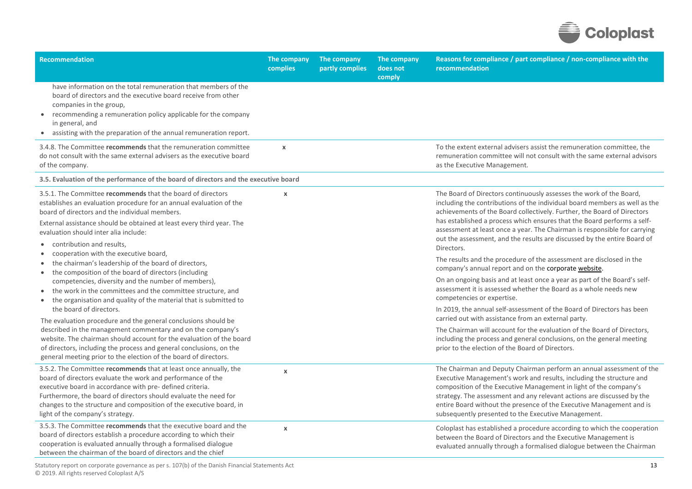

| <b>Recommendation</b>                                                                                                                                                                                                                                                                                                                                                                     | The company<br>complies   | The company<br>partly complies | The company<br>does not<br>comply | Reasons for compliance / part compliance / non-compliance with the<br>recommendation                                                                                                                                                                                                                                                                                                                                                                                           |
|-------------------------------------------------------------------------------------------------------------------------------------------------------------------------------------------------------------------------------------------------------------------------------------------------------------------------------------------------------------------------------------------|---------------------------|--------------------------------|-----------------------------------|--------------------------------------------------------------------------------------------------------------------------------------------------------------------------------------------------------------------------------------------------------------------------------------------------------------------------------------------------------------------------------------------------------------------------------------------------------------------------------|
| have information on the total remuneration that members of the<br>board of directors and the executive board receive from other<br>companies in the group,<br>recommending a remuneration policy applicable for the company<br>$\bullet$<br>in general, and<br>• assisting with the preparation of the annual remuneration report.                                                        |                           |                                |                                   |                                                                                                                                                                                                                                                                                                                                                                                                                                                                                |
| 3.4.8. The Committee recommends that the remuneration committee<br>do not consult with the same external advisers as the executive board<br>of the company.                                                                                                                                                                                                                               | $\mathsf{x}$              |                                |                                   | To the extent external advisers assist the remuneration committee, the<br>remuneration committee will not consult with the same external advisors<br>as the Executive Management.                                                                                                                                                                                                                                                                                              |
| 3.5. Evaluation of the performance of the board of directors and the executive board                                                                                                                                                                                                                                                                                                      |                           |                                |                                   |                                                                                                                                                                                                                                                                                                                                                                                                                                                                                |
| 3.5.1. The Committee recommends that the board of directors<br>establishes an evaluation procedure for an annual evaluation of the<br>board of directors and the individual members.<br>External assistance should be obtained at least every third year. The<br>evaluation should inter alia include:<br>contribution and results.<br>$\bullet$<br>cooperation with the executive board, | $\boldsymbol{\mathsf{x}}$ |                                |                                   | The Board of Directors continuously assesses the work of the Board,<br>including the contributions of the individual board members as well as the<br>achievements of the Board collectively. Further, the Board of Directors<br>has established a process which ensures that the Board performs a self-<br>assessment at least once a year. The Chairman is responsible for carrying<br>out the assessment, and the results are discussed by the entire Board of<br>Directors. |
| the chairman's leadership of the board of directors,<br>the composition of the board of directors (including<br>$\bullet$                                                                                                                                                                                                                                                                 |                           |                                |                                   | The results and the procedure of the assessment are disclosed in the<br>company's annual report and on the corporate website.<br>On an ongoing basis and at least once a year as part of the Board's self-                                                                                                                                                                                                                                                                     |
| competencies, diversity and the number of members),<br>the work in the committees and the committee structure, and<br>$\bullet$<br>the organisation and quality of the material that is submitted to<br>$\bullet$                                                                                                                                                                         |                           |                                |                                   | assessment it is assessed whether the Board as a whole needs new<br>competencies or expertise.                                                                                                                                                                                                                                                                                                                                                                                 |
| the board of directors.<br>The evaluation procedure and the general conclusions should be                                                                                                                                                                                                                                                                                                 |                           |                                |                                   | In 2019, the annual self-assessment of the Board of Directors has been<br>carried out with assistance from an external party.                                                                                                                                                                                                                                                                                                                                                  |
| described in the management commentary and on the company's<br>website. The chairman should account for the evaluation of the board<br>of directors, including the process and general conclusions, on the<br>general meeting prior to the election of the board of directors.                                                                                                            |                           |                                |                                   | The Chairman will account for the evaluation of the Board of Directors,<br>including the process and general conclusions, on the general meeting<br>prior to the election of the Board of Directors.                                                                                                                                                                                                                                                                           |
| 3.5.2. The Committee recommends that at least once annually, the<br>board of directors evaluate the work and performance of the<br>executive board in accordance with pre- defined criteria.<br>Furthermore, the board of directors should evaluate the need for<br>changes to the structure and composition of the executive board, in<br>light of the company's strategy.               | $\boldsymbol{\mathsf{x}}$ |                                |                                   | The Chairman and Deputy Chairman perform an annual assessment of the<br>Executive Management's work and results, including the structure and<br>composition of the Executive Management in light of the company's<br>strategy. The assessment and any relevant actions are discussed by the<br>entire Board without the presence of the Executive Management and is<br>subsequently presented to the Executive Management.                                                     |
| 3.5.3. The Committee recommends that the executive board and the<br>board of directors establish a procedure according to which their<br>cooperation is evaluated annually through a formalised dialogue<br>between the chairman of the board of directors and the chief                                                                                                                  | $\pmb{\chi}$              |                                |                                   | Coloplast has established a procedure according to which the cooperation<br>between the Board of Directors and the Executive Management is<br>evaluated annually through a formalised dialogue between the Chairman                                                                                                                                                                                                                                                            |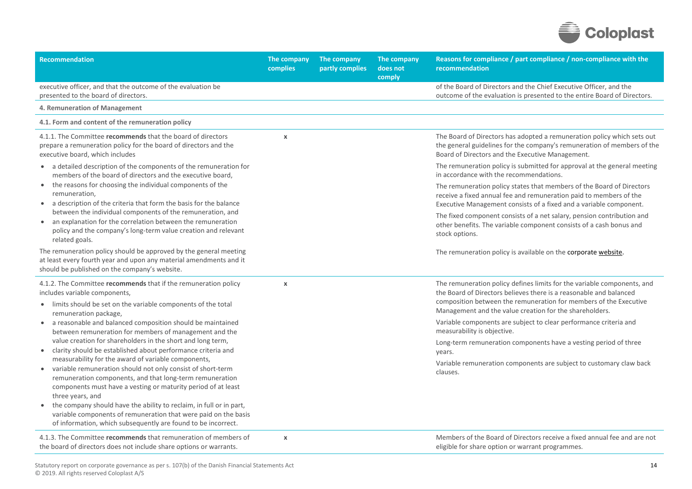

| Recommendation                                                                                                                                                                                                                                                                                                                                                                                                                                                                              | The company<br>complies   | The company<br>partly complies | The company<br>does not<br>comply | Reasons for compliance / part compliance / non-compliance with the<br>recommendation                                                                                                                               |
|---------------------------------------------------------------------------------------------------------------------------------------------------------------------------------------------------------------------------------------------------------------------------------------------------------------------------------------------------------------------------------------------------------------------------------------------------------------------------------------------|---------------------------|--------------------------------|-----------------------------------|--------------------------------------------------------------------------------------------------------------------------------------------------------------------------------------------------------------------|
| executive officer, and that the outcome of the evaluation be<br>presented to the board of directors.                                                                                                                                                                                                                                                                                                                                                                                        |                           |                                |                                   | of the Board of Directors and the Chief Executive Officer, and the<br>outcome of the evaluation is presented to the entire Board of Directors.                                                                     |
| 4. Remuneration of Management                                                                                                                                                                                                                                                                                                                                                                                                                                                               |                           |                                |                                   |                                                                                                                                                                                                                    |
| 4.1. Form and content of the remuneration policy                                                                                                                                                                                                                                                                                                                                                                                                                                            |                           |                                |                                   |                                                                                                                                                                                                                    |
| 4.1.1. The Committee recommends that the board of directors<br>prepare a remuneration policy for the board of directors and the<br>executive board, which includes                                                                                                                                                                                                                                                                                                                          | $\pmb{\chi}$              |                                |                                   | The Board of Directors has adopted a remuneration policy which sets out<br>the general guidelines for the company's remuneration of members of the<br>Board of Directors and the Executive Management.             |
| • a detailed description of the components of the remuneration for<br>members of the board of directors and the executive board,                                                                                                                                                                                                                                                                                                                                                            |                           |                                |                                   | The remuneration policy is submitted for approval at the general meeting<br>in accordance with the recommendations.                                                                                                |
| the reasons for choosing the individual components of the<br>remuneration,<br>• a description of the criteria that form the basis for the balance                                                                                                                                                                                                                                                                                                                                           |                           |                                |                                   | The remuneration policy states that members of the Board of Directors<br>receive a fixed annual fee and remuneration paid to members of the<br>Executive Management consists of a fixed and a variable component.  |
| between the individual components of the remuneration, and<br>an explanation for the correlation between the remuneration<br>$\bullet$<br>policy and the company's long-term value creation and relevant<br>related goals.                                                                                                                                                                                                                                                                  |                           |                                |                                   | The fixed component consists of a net salary, pension contribution and<br>other benefits. The variable component consists of a cash bonus and<br>stock options.                                                    |
| The remuneration policy should be approved by the general meeting<br>at least every fourth year and upon any material amendments and it<br>should be published on the company's website.                                                                                                                                                                                                                                                                                                    |                           |                                |                                   | The remuneration policy is available on the corporate website.                                                                                                                                                     |
| 4.1.2. The Committee recommends that if the remuneration policy<br>includes variable components,<br>limits should be set on the variable components of the total<br>$\bullet$                                                                                                                                                                                                                                                                                                               | $\boldsymbol{\chi}$       |                                |                                   | The remuneration policy defines limits for the variable components, and<br>the Board of Directors believes there is a reasonable and balanced<br>composition between the remuneration for members of the Executive |
| remuneration package,<br>a reasonable and balanced composition should be maintained                                                                                                                                                                                                                                                                                                                                                                                                         |                           |                                |                                   | Management and the value creation for the shareholders.<br>Variable components are subject to clear performance criteria and                                                                                       |
| $\bullet$<br>between remuneration for members of management and the                                                                                                                                                                                                                                                                                                                                                                                                                         |                           |                                |                                   | measurability is objective.                                                                                                                                                                                        |
| value creation for shareholders in the short and long term,<br>clarity should be established about performance criteria and<br>$\bullet$                                                                                                                                                                                                                                                                                                                                                    |                           |                                |                                   | Long-term remuneration components have a vesting period of three<br>years.                                                                                                                                         |
| measurability for the award of variable components,<br>variable remuneration should not only consist of short-term<br>$\bullet$<br>remuneration components, and that long-term remuneration<br>components must have a vesting or maturity period of at least<br>three years, and<br>the company should have the ability to reclaim, in full or in part,<br>variable components of remuneration that were paid on the basis<br>of information, which subsequently are found to be incorrect. |                           |                                |                                   | Variable remuneration components are subject to customary claw back<br>clauses.                                                                                                                                    |
| 4.1.3. The Committee recommends that remuneration of members of<br>the board of directors does not include share options or warrants.                                                                                                                                                                                                                                                                                                                                                       | $\boldsymbol{\mathsf{x}}$ |                                |                                   | Members of the Board of Directors receive a fixed annual fee and are not<br>eligible for share option or warrant programmes.                                                                                       |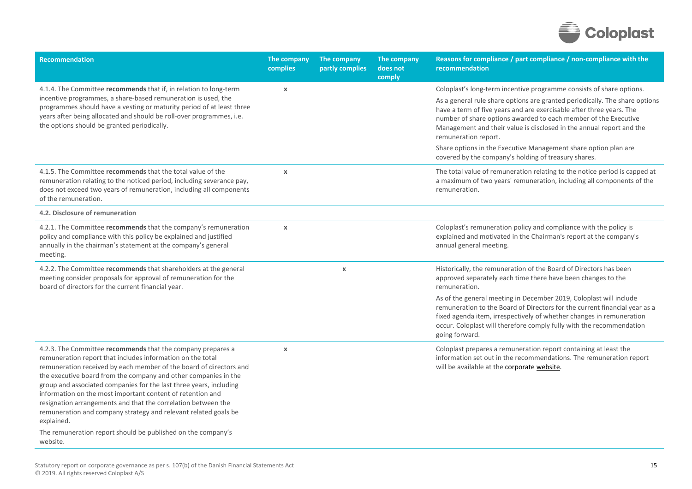

| <b>Recommendation</b>                                                                                                                                                                                                                                                                                                                                                                                                                                                                                                                                                                                                                | The company<br>complies   | The company<br>partly complies | The company<br>does not<br>comply | Reasons for compliance / part compliance / non-compliance with the<br>recommendation                                                                                                                                                                                                                                   |
|--------------------------------------------------------------------------------------------------------------------------------------------------------------------------------------------------------------------------------------------------------------------------------------------------------------------------------------------------------------------------------------------------------------------------------------------------------------------------------------------------------------------------------------------------------------------------------------------------------------------------------------|---------------------------|--------------------------------|-----------------------------------|------------------------------------------------------------------------------------------------------------------------------------------------------------------------------------------------------------------------------------------------------------------------------------------------------------------------|
| 4.1.4. The Committee recommends that if, in relation to long-term                                                                                                                                                                                                                                                                                                                                                                                                                                                                                                                                                                    | $\pmb{\chi}$              |                                |                                   | Coloplast's long-term incentive programme consists of share options.                                                                                                                                                                                                                                                   |
| incentive programmes, a share-based remuneration is used, the<br>programmes should have a vesting or maturity period of at least three<br>years after being allocated and should be roll-over programmes, i.e.<br>the options should be granted periodically.                                                                                                                                                                                                                                                                                                                                                                        |                           |                                |                                   | As a general rule share options are granted periodically. The share options<br>have a term of five years and are exercisable after three years. The<br>number of share options awarded to each member of the Executive<br>Management and their value is disclosed in the annual report and the<br>remuneration report. |
|                                                                                                                                                                                                                                                                                                                                                                                                                                                                                                                                                                                                                                      |                           |                                |                                   | Share options in the Executive Management share option plan are<br>covered by the company's holding of treasury shares.                                                                                                                                                                                                |
| 4.1.5. The Committee recommends that the total value of the<br>remuneration relating to the noticed period, including severance pay,<br>does not exceed two years of remuneration, including all components<br>of the remuneration.                                                                                                                                                                                                                                                                                                                                                                                                  | $\boldsymbol{\mathsf{x}}$ |                                |                                   | The total value of remuneration relating to the notice period is capped at<br>a maximum of two years' remuneration, including all components of the<br>remuneration.                                                                                                                                                   |
| 4.2. Disclosure of remuneration                                                                                                                                                                                                                                                                                                                                                                                                                                                                                                                                                                                                      |                           |                                |                                   |                                                                                                                                                                                                                                                                                                                        |
| 4.2.1. The Committee recommends that the company's remuneration<br>policy and compliance with this policy be explained and justified<br>annually in the chairman's statement at the company's general<br>meeting.                                                                                                                                                                                                                                                                                                                                                                                                                    | $\mathbf x$               |                                |                                   | Coloplast's remuneration policy and compliance with the policy is<br>explained and motivated in the Chairman's report at the company's<br>annual general meeting.                                                                                                                                                      |
| 4.2.2. The Committee recommends that shareholders at the general<br>meeting consider proposals for approval of remuneration for the<br>board of directors for the current financial year.                                                                                                                                                                                                                                                                                                                                                                                                                                            |                           | $\boldsymbol{\mathsf{x}}$      |                                   | Historically, the remuneration of the Board of Directors has been<br>approved separately each time there have been changes to the<br>remuneration.                                                                                                                                                                     |
|                                                                                                                                                                                                                                                                                                                                                                                                                                                                                                                                                                                                                                      |                           |                                |                                   | As of the general meeting in December 2019, Coloplast will include<br>remuneration to the Board of Directors for the current financial year as a<br>fixed agenda item, irrespectively of whether changes in remuneration<br>occur. Coloplast will therefore comply fully with the recommendation<br>going forward.     |
| 4.2.3. The Committee recommends that the company prepares a<br>remuneration report that includes information on the total<br>remuneration received by each member of the board of directors and<br>the executive board from the company and other companies in the<br>group and associated companies for the last three years, including<br>information on the most important content of retention and<br>resignation arrangements and that the correlation between the<br>remuneration and company strategy and relevant related goals be<br>explained.<br>The remuneration report should be published on the company's<br>website. | $\pmb{\chi}$              |                                |                                   | Coloplast prepares a remuneration report containing at least the<br>information set out in the recommendations. The remuneration report<br>will be available at the corporate website.                                                                                                                                 |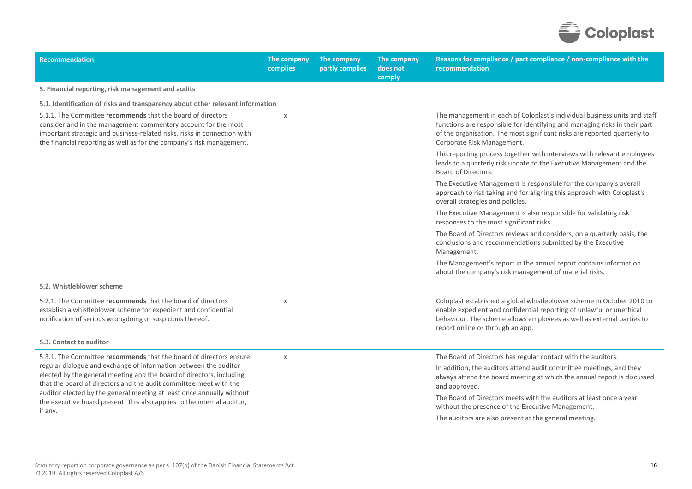

| Recommendation                                                                                                                                                                                                                                                                                                                                                                                                                                     | The company<br>complies   | The company<br>partly complies | The company<br>does not<br>comply | Reasons for compliance / part compliance / non-compliance with the<br>recommendation                                                                                                                                                                               |
|----------------------------------------------------------------------------------------------------------------------------------------------------------------------------------------------------------------------------------------------------------------------------------------------------------------------------------------------------------------------------------------------------------------------------------------------------|---------------------------|--------------------------------|-----------------------------------|--------------------------------------------------------------------------------------------------------------------------------------------------------------------------------------------------------------------------------------------------------------------|
| 5. Financial reporting, risk management and audits                                                                                                                                                                                                                                                                                                                                                                                                 |                           |                                |                                   |                                                                                                                                                                                                                                                                    |
| 5.1. Identification of risks and transparency about other relevant information                                                                                                                                                                                                                                                                                                                                                                     |                           |                                |                                   |                                                                                                                                                                                                                                                                    |
| 5.1.1. The Committee recommends that the board of directors<br>consider and in the management commentary account for the most<br>important strategic and business-related risks, risks in connection with<br>the financial reporting as well as for the company's risk management.                                                                                                                                                                 | $\boldsymbol{\chi}$       |                                |                                   | The management in each of Coloplast's individual business units and staff<br>functions are responsible for identifying and managing risks in their part<br>of the organisation. The most significant risks are reported quarterly to<br>Corporate Risk Management. |
|                                                                                                                                                                                                                                                                                                                                                                                                                                                    |                           |                                |                                   | This reporting process together with interviews with relevant employees<br>leads to a quarterly risk update to the Executive Management and the<br>Board of Directors.                                                                                             |
|                                                                                                                                                                                                                                                                                                                                                                                                                                                    |                           |                                |                                   | The Executive Management is responsible for the company's overall<br>approach to risk taking and for aligning this approach with Coloplast's<br>overall strategies and policies.                                                                                   |
|                                                                                                                                                                                                                                                                                                                                                                                                                                                    |                           |                                |                                   | The Executive Management is also responsible for validating risk<br>responses to the most significant risks.                                                                                                                                                       |
|                                                                                                                                                                                                                                                                                                                                                                                                                                                    |                           |                                |                                   | The Board of Directors reviews and considers, on a quarterly basis, the<br>conclusions and recommendations submitted by the Executive<br>Management.                                                                                                               |
|                                                                                                                                                                                                                                                                                                                                                                                                                                                    |                           |                                |                                   | The Management's report in the annual report contains information<br>about the company's risk management of material risks.                                                                                                                                        |
| 5.2. Whistleblower scheme                                                                                                                                                                                                                                                                                                                                                                                                                          |                           |                                |                                   |                                                                                                                                                                                                                                                                    |
| 5.2.1. The Committee recommends that the board of directors<br>establish a whistleblower scheme for expedient and confidential<br>notification of serious wrongdoing or suspicions thereof.                                                                                                                                                                                                                                                        | $\boldsymbol{\chi}$       |                                |                                   | Coloplast established a global whistleblower scheme in October 2010 to<br>enable expedient and confidential reporting of unlawful or unethical<br>behaviour. The scheme allows employees as well as external parties to<br>report online or through an app.        |
| 5.3. Contact to auditor                                                                                                                                                                                                                                                                                                                                                                                                                            |                           |                                |                                   |                                                                                                                                                                                                                                                                    |
| 5.3.1. The Committee recommends that the board of directors ensure<br>regular dialogue and exchange of information between the auditor<br>elected by the general meeting and the board of directors, including<br>that the board of directors and the audit committee meet with the<br>auditor elected by the general meeting at least once annually without<br>the executive board present. This also applies to the internal auditor,<br>if any. | $\boldsymbol{\mathsf{x}}$ |                                |                                   | The Board of Directors has regular contact with the auditors.                                                                                                                                                                                                      |
|                                                                                                                                                                                                                                                                                                                                                                                                                                                    |                           |                                |                                   | In addition, the auditors attend audit committee meetings, and they<br>always attend the board meeting at which the annual report is discussed<br>and approved.                                                                                                    |
|                                                                                                                                                                                                                                                                                                                                                                                                                                                    |                           |                                |                                   | The Board of Directors meets with the auditors at least once a year<br>without the presence of the Executive Management.                                                                                                                                           |
|                                                                                                                                                                                                                                                                                                                                                                                                                                                    |                           |                                |                                   | The auditors are also present at the general meeting.                                                                                                                                                                                                              |